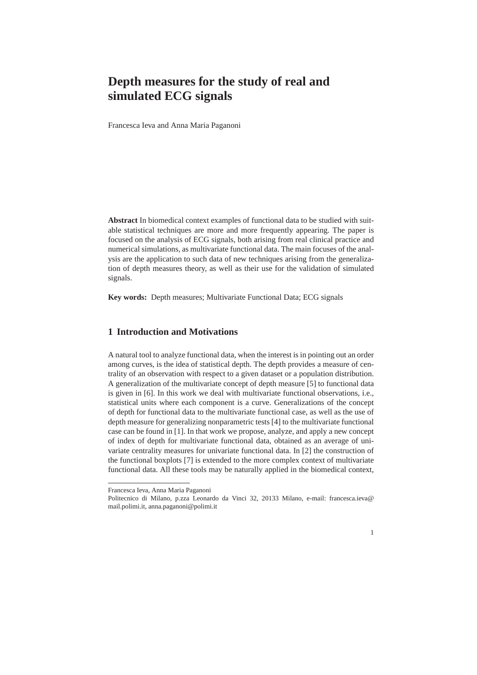# **Depth measures for the study of real and simulated ECG signals**

Francesca Ieva and Anna Maria Paganoni

**Abstract** In biomedical context examples of functional data to be studied with suitable statistical techniques are more and more frequently appearing. The paper is focused on the analysis of ECG signals, both arising from real clinical practice and numerical simulations, as multivariate functional data. The main focuses of the analysis are the application to such data of new techniques arising from the generalization of depth measures theory, as well as their use for the validation of simulated signals.

**Key words:** Depth measures; Multivariate Functional Data; ECG signals

## **1 Introduction and Motivations**

A natural tool to analyze functional data, when the interest is in pointing out an order among curves, is the idea of statistical depth. The depth provides a measure of centrality of an observation with respect to a given dataset or a population distribution. A generalization of the multivariate concept of depth measure [5] to functional data is given in [6]. In this work we deal with multivariate functional observations, i.e., statistical units where each component is a curve. Generalizations of the concept of depth for functional data to the multivariate functional case, as well as the use of depth measure for generalizing nonparametric tests [4] to the multivariate functional case can be found in [1]. In that work we propose, analyze, and apply a new concept of index of depth for multivariate functional data, obtained as an average of univariate centrality measures for univariate functional data. In [2] the construction of the functional boxplots [7] is extended to the more complex context of multivariate functional data. All these tools may be naturally applied in the biomedical context,

Politecnico di Milano, p.zza Leonardo da Vinci 32, 20133 Milano, e-mail: francesca.ieva@ mail.polimi.it, anna.paganoni@polimi.it



Francesca Ieva, Anna Maria Paganoni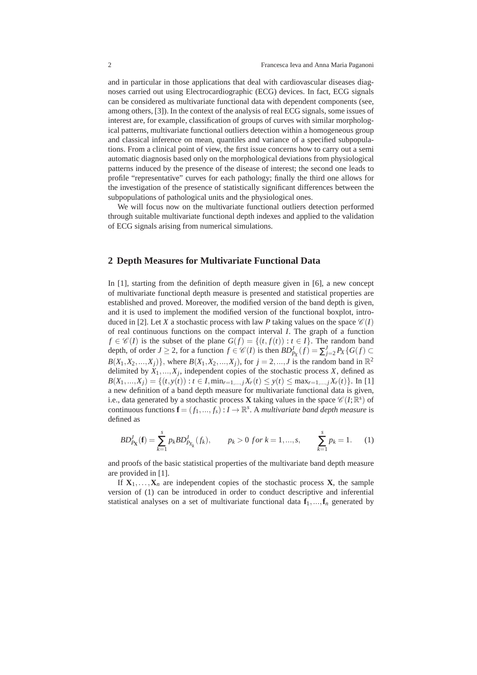and in particular in those applications that deal with cardiovascular diseases diagnoses carried out using Electrocardiographic (ECG) devices. In fact, ECG signals can be considered as multivariate functional data with dependent components (see, among others, [3]). In the context of the analysis of real ECG signals, some issues of interest are, for example, classification of groups of curves with similar morphological patterns, multivariate functional outliers detection within a homogeneous group and classical inference on mean, quantiles and variance of a specified subpopulations. From a clinical point of view, the first issue concerns how to carry out a semi automatic diagnosis based only on the morphological deviations from physiological patterns induced by the presence of the disease of interest; the second one leads to profile "representative" curves for each pathology; finally the third one allows for the investigation of the presence of statistically significant differences between the subpopulations of pathological units and the physiological ones.

We will focus now on the multivariate functional outliers detection performed through suitable multivariate functional depth indexes and applied to the validation of ECG signals arising from numerical simulations.

#### **2 Depth Measures for Multivariate Functional Data**

In [1], starting from the definition of depth measure given in [6], a new concept of multivariate functional depth measure is presented and statistical properties are established and proved. Moreover, the modified version of the band depth is given, and it is used to implement the modified version of the functional boxplot, introduced in [2]. Let *X* a stochastic process with law *P* taking values on the space  $\mathcal{C}(I)$ of real continuous functions on the compact interval *I*. The graph of a function *f* ∈  $\mathcal{C}(I)$  is the subset of the plane *G*(*f*) = {(*t*, *f*(*t*)) : *t* ∈ *I*}. The random band depth, of order *J* ≥ 2, for a function  $f \in \mathcal{C}(I)$  is then  $BD_{P_X}^J(f) = \sum_{j=2}^J P_X\{G(f) \subset$  $B(X_1, X_2, ..., X_j)$ , where  $B(X_1, X_2, ..., X_j)$ , for  $j = 2, ..., J$  is the random band in  $\mathbb{R}^2$ delimited by  $X_1, \ldots, X_j$ , independent copies of the stochastic process X, defined as  $B(X_1,...,X_j) = \{(t,y(t)) : t \in I, \min_{r=1,...,j} X_r(t) \leq y(t) \leq \max_{r=1,...,j} X_r(t)\}.$  In [1] a new definition of a band depth measure for multivariate functional data is given, i.e., data generated by a stochastic process **X** taking values in the space  $\mathscr{C}(I;\mathbb{R}^s)$  of continuous functions  $\mathbf{f} = (f_1, ..., f_s) : I \to \mathbb{R}^s$ . A *multivariate band depth measure* is defined as

$$
BD_{P_X}^J(\mathbf{f}) = \sum_{k=1}^s p_k BD_{P_{X_k}}^J(f_k), \qquad p_k > 0 \text{ for } k = 1, ..., s, \qquad \sum_{k=1}^s p_k = 1. \tag{1}
$$

and proofs of the basic statistical properties of the multivariate band depth measure are provided in [1].

If  $X_1, \ldots, X_n$  are independent copies of the stochastic process **X**, the sample version of (1) can be introduced in order to conduct descriptive and inferential statistical analyses on a set of multivariate functional data  $f_1, ..., f_n$  generated by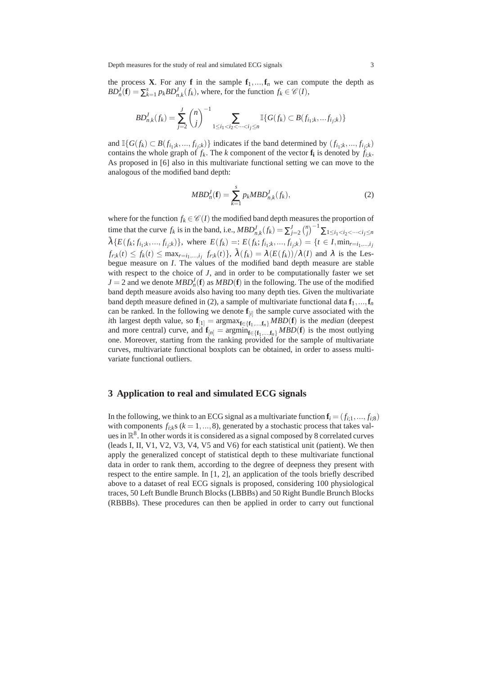the process **X**. For any **f** in the sample  $f_1, ..., f_n$  we can compute the depth as  $BD_n^J(\mathbf{f}) = \sum_{k=1}^s p_k BD_{n,k}^J(f_k)$ , where, for the function  $f_k \in \mathcal{C}(I)$ ,

$$
BD_{n,k}^J(f_k) = \sum_{j=2}^J {n \choose j}^{-1} \sum_{1 \le i_1 < i_2 < \dots < i_j \le n} \mathbb{I}\{G(f_k) \subset B(f_{i_1;k}, \dots, f_{i_j;k})\}
$$

and  $\mathbb{I}\{G(f_k) \subset B(f_{i_1,k},...,f_{i_j,k})\}$  indicates if the band determined by  $(f_{i_1,k},...,f_{i_j,k})$ contains the whole graph of  $f_k$ . The *k* component of the vector  $f_i$  is denoted by  $f_{i,k}$ . As proposed in [6] also in this multivariate functional setting we can move to the analogous of the modified band depth:

$$
MBD_n^J(\mathbf{f}) = \sum_{k=1}^s p_k MBD_{n,k}^J(f_k),\tag{2}
$$

where for the function  $f_k \in \mathcal{C}(I)$  the modified band depth measures the proportion of time that the curve  $f_k$  is in the band, i.e.,  $MBD_{n,k}^J(f_k) = \sum_{j=2}^J {n \choose j}^{-1} \sum_{1 \le i_1 < i_2 < \dots < i_j \le n}$  $\tilde{\lambda} \{ E(f_k; f_{i_1;k},...,f_{i_j;k}) \}$ , where  $E(f_k) =: E(f_k; f_{i_1;k},...,f_{i_j;k}) = \{ t \in I, \min_{r=i_1,...,i_j} \}$  $f_{r,k}(t) \le f_k(t) \le \max_{r=i_1,\dots,i_j} f_{r,k}(t)$ ,  $\tilde{\lambda}(f_k) = \lambda(E(f_k))/\lambda(I)$  and  $\lambda$  is the Lesbegue measure on *I*. The values of the modified band depth measure are stable with respect to the choice of *J*, and in order to be computationally faster we set  $J = 2$  and we denote  $MBD<sub>n</sub><sup>J</sup>(**f**)$  as  $MBD(**f**)$  in the following. The use of the modified band depth measure avoids also having too many depth ties. Given the multivariate band depth measure defined in (2), a sample of multivariate functional data  $\mathbf{f}_1, \ldots, \mathbf{f}_n$ can be ranked. In the following we denote  $f_{[i]}$  the sample curve associated with the *i*th largest depth value, so  $f_{[1]} = \text{argmax}_{f \in \{f_1, \ldots, f_n\}} MBD(f)$  is the *median* (deepest and more central) curve, and  $\mathbf{f}_{[n]} = \operatorname{argmin}_{\mathbf{f} \in \{\mathbf{f}_1, \dots, \mathbf{f}_n\}} MBD(\mathbf{f})$  is the most outlying one. Moreover, starting from the ranking provided for the sample of multivariate curves, multivariate functional boxplots can be obtained, in order to assess multivariate functional outliers.

### **3 Application to real and simulated ECG signals**

In the following, we think to an ECG signal as a multivariate function  $\mathbf{f}_i = (f_{i;1},...,f_{i;8})$ with components  $f_{i,k}$ s ( $k = 1,...,8$ ), generated by a stochastic process that takes values in  $\mathbb{R}^8$ . In other words it is considered as a signal composed by 8 correlated curves (leads I, II, V1, V2, V3, V4, V5 and V6) for each statistical unit (patient). We then apply the generalized concept of statistical depth to these multivariate functional data in order to rank them, according to the degree of deepness they present with respect to the entire sample. In [1, 2], an application of the tools briefly described above to a dataset of real ECG signals is proposed, considering 100 physiological traces, 50 Left Bundle Brunch Blocks (LBBBs) and 50 Right Bundle Brunch Blocks (RBBBs). These procedures can then be applied in order to carry out functional